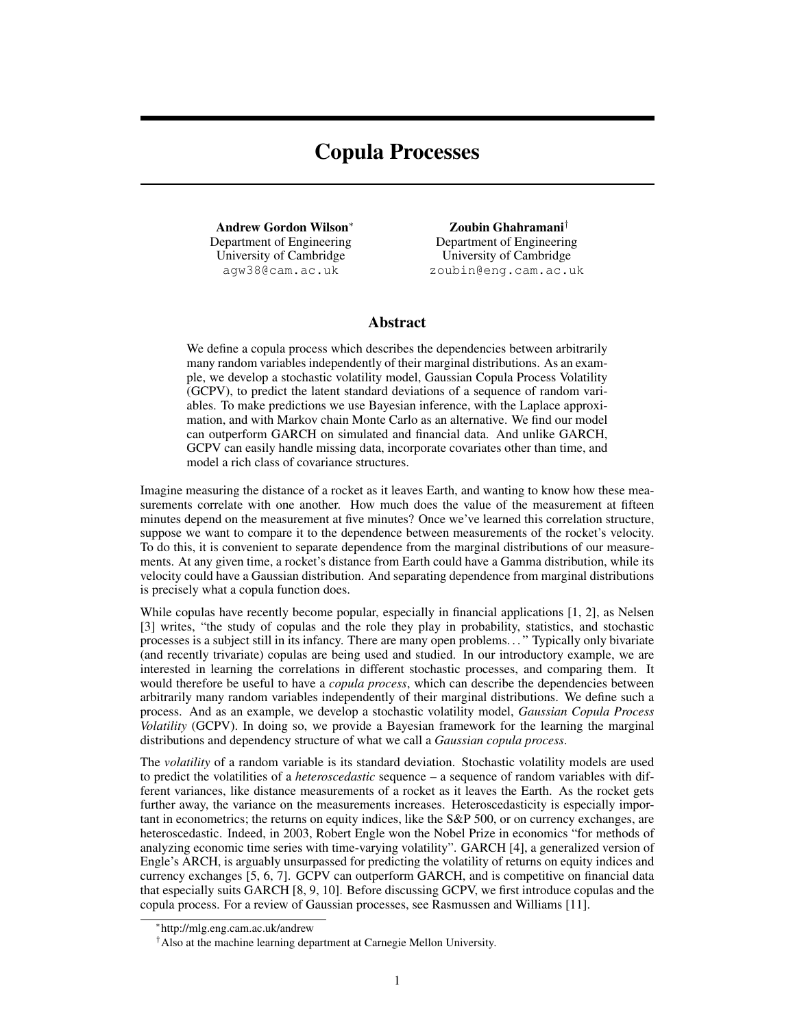# Copula Processes

Andrew Gordon Wilson<sup>∗</sup> Department of Engineering University of Cambridge agw38@cam.ac.uk

Zoubin Ghahramani† Department of Engineering University of Cambridge zoubin@eng.cam.ac.uk

## Abstract

We define a copula process which describes the dependencies between arbitrarily many random variables independently of their marginal distributions. As an example, we develop a stochastic volatility model, Gaussian Copula Process Volatility (GCPV), to predict the latent standard deviations of a sequence of random variables. To make predictions we use Bayesian inference, with the Laplace approximation, and with Markov chain Monte Carlo as an alternative. We find our model can outperform GARCH on simulated and financial data. And unlike GARCH, GCPV can easily handle missing data, incorporate covariates other than time, and model a rich class of covariance structures.

Imagine measuring the distance of a rocket as it leaves Earth, and wanting to know how these measurements correlate with one another. How much does the value of the measurement at fifteen minutes depend on the measurement at five minutes? Once we've learned this correlation structure, suppose we want to compare it to the dependence between measurements of the rocket's velocity. To do this, it is convenient to separate dependence from the marginal distributions of our measurements. At any given time, a rocket's distance from Earth could have a Gamma distribution, while its velocity could have a Gaussian distribution. And separating dependence from marginal distributions is precisely what a copula function does.

While copulas have recently become popular, especially in financial applications [1, 2], as Nelsen [3] writes, "the study of copulas and the role they play in probability, statistics, and stochastic processes is a subject still in its infancy. There are many open problems. . . " Typically only bivariate (and recently trivariate) copulas are being used and studied. In our introductory example, we are interested in learning the correlations in different stochastic processes, and comparing them. It would therefore be useful to have a *copula process*, which can describe the dependencies between arbitrarily many random variables independently of their marginal distributions. We define such a process. And as an example, we develop a stochastic volatility model, *Gaussian Copula Process Volatility* (GCPV). In doing so, we provide a Bayesian framework for the learning the marginal distributions and dependency structure of what we call a *Gaussian copula process*.

The *volatility* of a random variable is its standard deviation. Stochastic volatility models are used to predict the volatilities of a *heteroscedastic* sequence – a sequence of random variables with different variances, like distance measurements of a rocket as it leaves the Earth. As the rocket gets further away, the variance on the measurements increases. Heteroscedasticity is especially important in econometrics; the returns on equity indices, like the S&P 500, or on currency exchanges, are heteroscedastic. Indeed, in 2003, Robert Engle won the Nobel Prize in economics "for methods of analyzing economic time series with time-varying volatility". GARCH [4], a generalized version of Engle's ARCH, is arguably unsurpassed for predicting the volatility of returns on equity indices and currency exchanges [5, 6, 7]. GCPV can outperform GARCH, and is competitive on financial data that especially suits GARCH [8, 9, 10]. Before discussing GCPV, we first introduce copulas and the copula process. For a review of Gaussian processes, see Rasmussen and Williams [11].

<sup>∗</sup> http://mlg.eng.cam.ac.uk/andrew

<sup>†</sup>Also at the machine learning department at Carnegie Mellon University.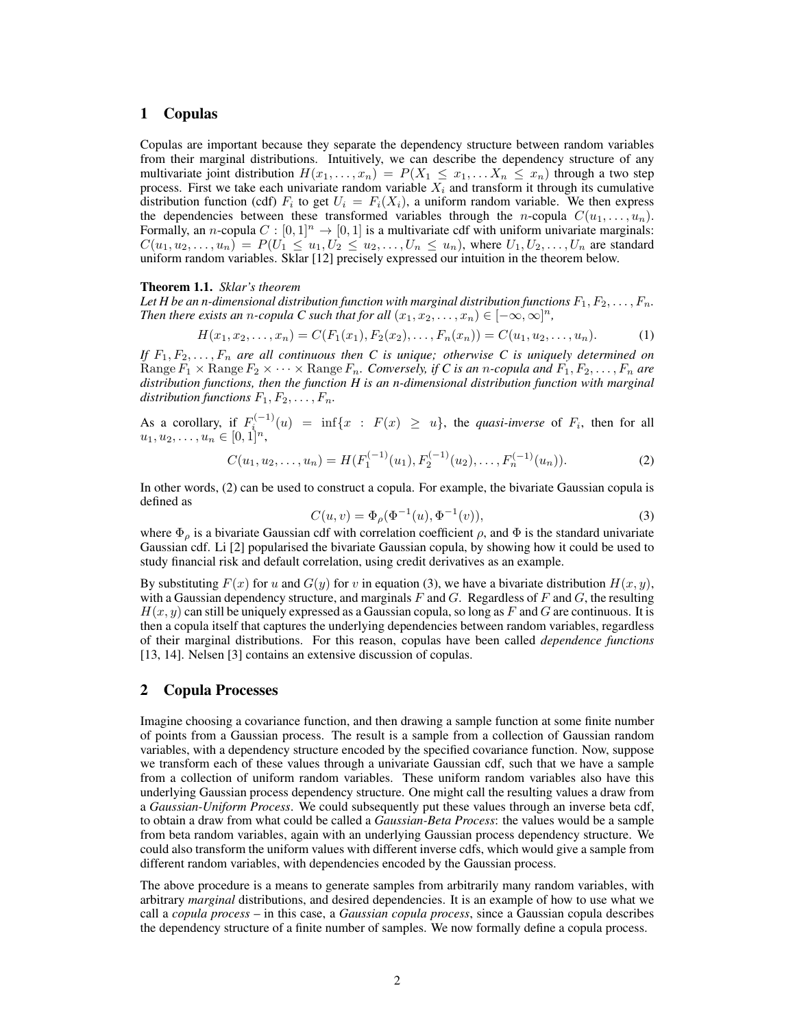# 1 Copulas

Copulas are important because they separate the dependency structure between random variables from their marginal distributions. Intuitively, we can describe the dependency structure of any multivariate joint distribution  $H(x_1, \ldots, x_n) = P(X_1 \leq x_1, \ldots, X_n \leq x_n)$  through a two step process. First we take each univariate random variable  $X_i$  and transform it through its cumulative distribution function (cdf)  $F_i$  to get  $U_i = F_i(X_i)$ , a uniform random variable. We then express the dependencies between these transformed variables through the *n*-copula  $C(u_1, \ldots, u_n)$ . Formally, an *n*-copula  $C : [0, 1]^n \to [0, 1]$  is a multivariate cdf with uniform univariate marginals:  $C(u_1, u_2, \ldots, u_n) = P(U_1 \le u_1, U_2 \le u_2, \ldots, U_n \le u_n)$ , where  $U_1, U_2, \ldots, U_n$  are standard uniform random variables. Sklar [12] precisely expressed our intuition in the theorem below.

#### Theorem 1.1. *Sklar's theorem*

Let *H* be an *n*-dimensional distribution function with marginal distribution functions  $F_1, F_2, \ldots, F_n$ . *Then there exists an n-copula C such that for all*  $(x_1, x_2, \ldots, x_n) \in [-\infty, \infty]^n$ ,

$$
H(x_1, x_2, \dots, x_n) = C(F_1(x_1), F_2(x_2), \dots, F_n(x_n)) = C(u_1, u_2, \dots, u_n).
$$
 (1)

If  $F_1, F_2, \ldots, F_n$  are all continuous then C is unique; otherwise C is uniquely determined on Range  $F_1 \times \text{Range } F_2 \times \cdots \times \text{Range } F_n$ . Conversely, if C is an *n*-copula and  $F_1, F_2, \ldots, F_n$  are *distribution functions, then the function H is an n-dimensional distribution function with marginal distribution functions*  $F_1, F_2, \ldots, F_n$ .

As a corollary, if  $F_i^{(-1)}(u) = \inf\{x : F(x) \ge u\}$ , the *quasi-inverse* of  $F_i$ , then for all  $u_1, u_2, \ldots, u_n \in [0, 1]^n$ ,

$$
C(u_1, u_2, \dots, u_n) = H(F_1^{(-1)}(u_1), F_2^{(-1)}(u_2), \dots, F_n^{(-1)}(u_n)).
$$
\n(2)

In other words, (2) can be used to construct a copula. For example, the bivariate Gaussian copula is defined as

$$
C(u, v) = \Phi_{\rho}(\Phi^{-1}(u), \Phi^{-1}(v)),
$$
\n(3)

where  $\Phi_{\rho}$  is a bivariate Gaussian cdf with correlation coefficient  $\rho$ , and  $\Phi$  is the standard univariate Gaussian cdf. Li [2] popularised the bivariate Gaussian copula, by showing how it could be used to study financial risk and default correlation, using credit derivatives as an example.

By substituting  $F(x)$  for u and  $G(y)$  for v in equation (3), we have a bivariate distribution  $H(x, y)$ , with a Gaussian dependency structure, and marginals  $F$  and  $G$ . Regardless of  $F$  and  $G$ , the resulting  $H(x, y)$  can still be uniquely expressed as a Gaussian copula, so long as F and G are continuous. It is then a copula itself that captures the underlying dependencies between random variables, regardless of their marginal distributions. For this reason, copulas have been called *dependence functions* [13, 14]. Nelsen [3] contains an extensive discussion of copulas.

# 2 Copula Processes

Imagine choosing a covariance function, and then drawing a sample function at some finite number of points from a Gaussian process. The result is a sample from a collection of Gaussian random variables, with a dependency structure encoded by the specified covariance function. Now, suppose we transform each of these values through a univariate Gaussian cdf, such that we have a sample from a collection of uniform random variables. These uniform random variables also have this underlying Gaussian process dependency structure. One might call the resulting values a draw from a *Gaussian-Uniform Process*. We could subsequently put these values through an inverse beta cdf, to obtain a draw from what could be called a *Gaussian-Beta Process*: the values would be a sample from beta random variables, again with an underlying Gaussian process dependency structure. We could also transform the uniform values with different inverse cdfs, which would give a sample from different random variables, with dependencies encoded by the Gaussian process.

The above procedure is a means to generate samples from arbitrarily many random variables, with arbitrary *marginal* distributions, and desired dependencies. It is an example of how to use what we call a *copula process* – in this case, a *Gaussian copula process*, since a Gaussian copula describes the dependency structure of a finite number of samples. We now formally define a copula process.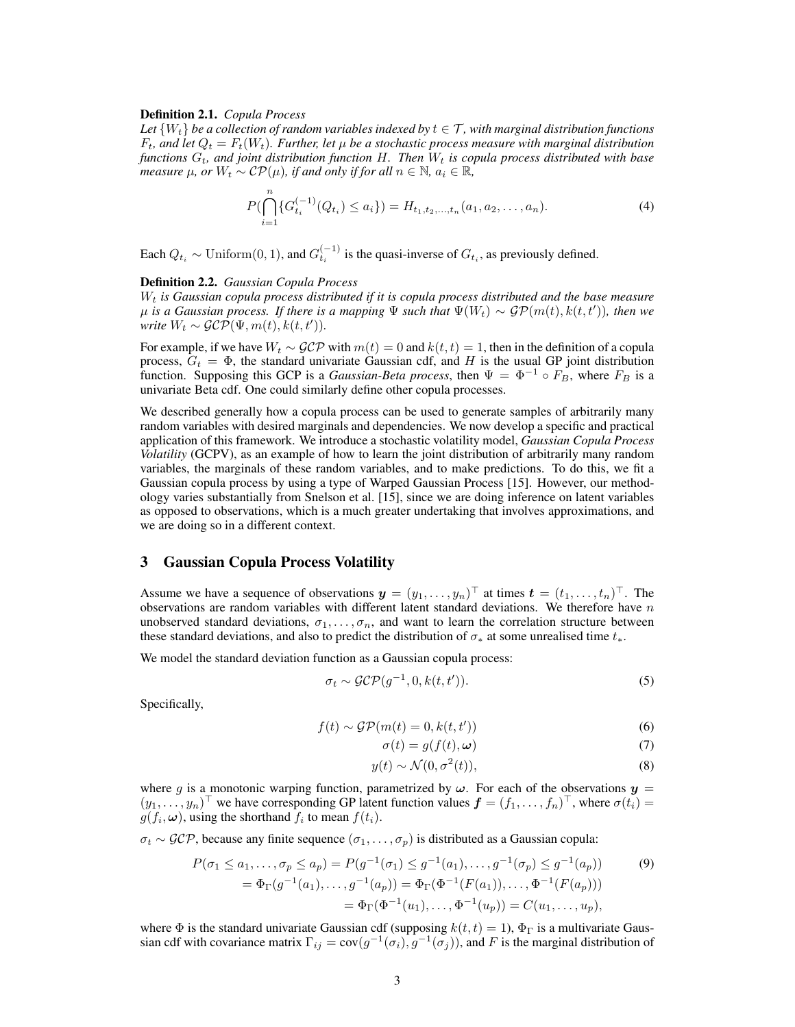#### Definition 2.1. *Copula Process*

Let  $\{W_t\}$  be a collection of random variables indexed by  $t \in \mathcal{T}$ , with marginal distribution functions  $F_t$ , and let  $Q_t = F_t(W_t)$ . Further, let  $\mu$  be a stochastic process measure with marginal distribution *functions*  $G_t$ , and joint distribution function H. Then  $W_t$  is copula process distributed with base *measure*  $\mu$ *, or*  $W_t \sim \mathcal{CP}(\mu)$ *, if and only if for all*  $n \in \mathbb{N}$ *,*  $a_i \in \mathbb{R}$ *<sup>firit</sup>y,*  $a_i \in \mathbb{R}$ *<sup>firit</sup>y.* 

$$
P(\bigcap_{i=1}^{n} \{G_{t_i}^{(-1)}(Q_{t_i}) \le a_i\}) = H_{t_1, t_2, \dots, t_n}(a_1, a_2, \dots, a_n). \tag{4}
$$

Each  $Q_{t_i} \sim \text{Uniform}(0, 1)$ , and  $G_{t_i}^{(-1)}$  is the quasi-inverse of  $G_{t_i}$ , as previously defined.

#### Definition 2.2. *Gaussian Copula Process*

 $\overline{\phantom{a}}$ 

W<sup>t</sup> *is Gaussian copula process distributed if it is copula process distributed and the base measure*  $\mu$  is a Gaussian process. If there is a mapping  $\Psi$  such that  $\Psi(W_t) \sim \mathcal{GP}(m(t), k(t,t'))$ , then we *write*  $W_t \sim \mathcal{GCP}(\Psi, m(t), k(t, t')).$ 

For example, if we have  $W_t \sim \mathcal{GCP}$  with  $m(t) = 0$  and  $k(t, t) = 1$ , then in the definition of a copula process,  $G_t = \Phi$ , the standard univariate Gaussian cdf, and H is the usual GP joint distribution function. Supposing this GCP is a *Gaussian-Beta process*, then  $\Psi = \Phi^{-1} \circ F_B$ , where  $F_B$  is a univariate Beta cdf. One could similarly define other copula processes.

We described generally how a copula process can be used to generate samples of arbitrarily many random variables with desired marginals and dependencies. We now develop a specific and practical application of this framework. We introduce a stochastic volatility model, *Gaussian Copula Process Volatility* (GCPV), as an example of how to learn the joint distribution of arbitrarily many random variables, the marginals of these random variables, and to make predictions. To do this, we fit a Gaussian copula process by using a type of Warped Gaussian Process [15]. However, our methodology varies substantially from Snelson et al. [15], since we are doing inference on latent variables as opposed to observations, which is a much greater undertaking that involves approximations, and we are doing so in a different context.

# 3 Gaussian Copula Process Volatility

Assume we have a sequence of observations  $\mathbf{y} = (y_1, \dots, y_n)^\top$  at times  $\mathbf{t} = (t_1, \dots, t_n)^\top$ . The observations are random variables with different latent standard deviations. We therefore have  $n$ unobserved standard deviations,  $\sigma_1, \ldots, \sigma_n$ , and want to learn the correlation structure between these standard deviations, and also to predict the distribution of  $\sigma_*$  at some unrealised time  $t_*$ .

We model the standard deviation function as a Gaussian copula process:

$$
\sigma_t \sim \mathcal{GCP}(g^{-1}, 0, k(t, t')). \tag{5}
$$

Specifically,

$$
f(t) \sim \mathcal{GP}(m(t) = 0, k(t, t'))
$$
\n(6)

$$
\sigma(t) = g(f(t), \omega) \tag{7}
$$

$$
y(t) \sim \mathcal{N}(0, \sigma^2(t)),\tag{8}
$$

where g is a monotonic warping function, parametrized by  $\omega$ . For each of the observations  $y =$  $(y_1, \ldots, y_n)^\top$  we have corresponding GP latent function values  $\boldsymbol{f} = (f_1, \ldots, f_n)^\top$ , where  $\sigma(t_i) =$  $g(f_i, \omega)$ , using the shorthand  $f_i$  to mean  $f(t_i)$ .

 $\sigma_t \sim \mathcal{GCP}$ , because any finite sequence  $(\sigma_1, \ldots, \sigma_p)$  is distributed as a Gaussian copula:

$$
P(\sigma_1 \le a_1, ..., \sigma_p \le a_p) = P(g^{-1}(\sigma_1) \le g^{-1}(a_1), ..., g^{-1}(\sigma_p) \le g^{-1}(a_p))
$$
(9)  
=  $\Phi_{\Gamma}(g^{-1}(a_1), ..., g^{-1}(a_p)) = \Phi_{\Gamma}(\Phi^{-1}(F(a_1)), ..., \Phi^{-1}(F(a_p)))$   
=  $\Phi_{\Gamma}(\Phi^{-1}(u_1), ..., \Phi^{-1}(u_p)) = C(u_1, ..., u_p),$ 

where  $\Phi$  is the standard univariate Gaussian cdf (supposing  $k(t, t) = 1$ ),  $\Phi_{\Gamma}$  is a multivariate Gaussian cdf with covariance matrix  $\Gamma_{ij} = cov(g^{-1}(\sigma_i), g^{-1}(\sigma_j))$ , and F is the marginal distribution of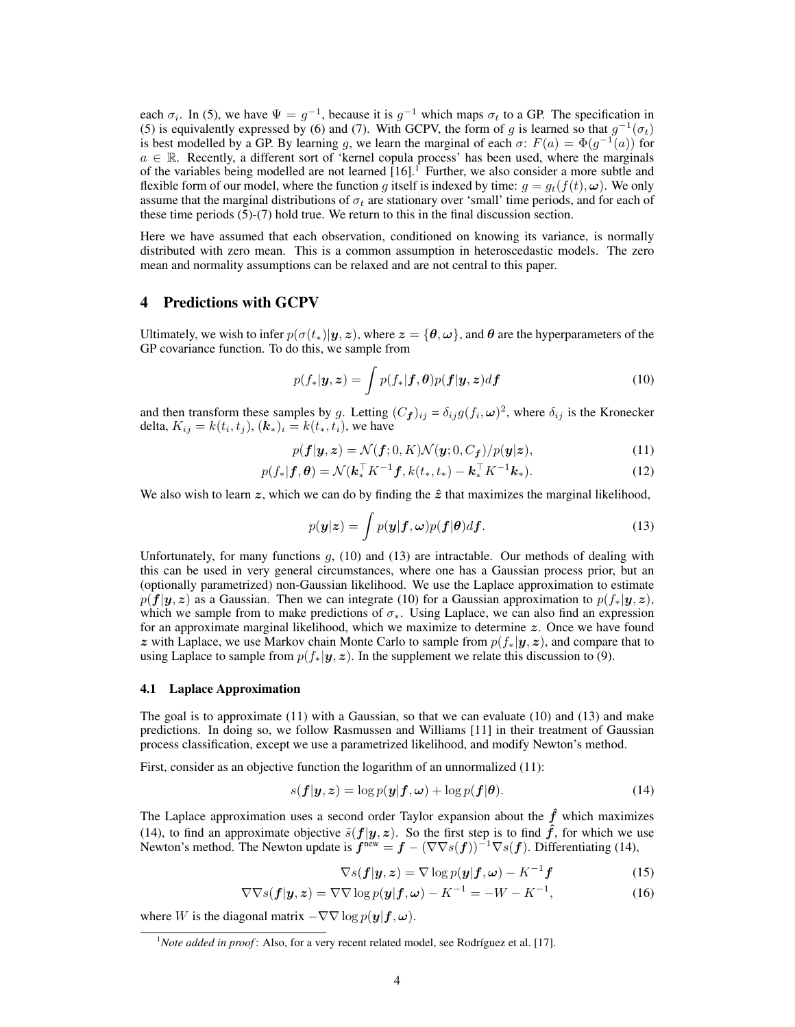each  $\sigma_i$ . In (5), we have  $\Psi = g^{-1}$ , because it is  $g^{-1}$  which maps  $\sigma_t$  to a GP. The specification in (5) is equivalently expressed by (6) and (7). With GCPV, the form of g is learned so that  $g^{-1}(\sigma_t)$ is best modelled by a GP. By learning g, we learn the marginal of each  $\sigma$ :  $F(a) = \Phi(g^{-1}(a))$  for  $a \in \mathbb{R}$ . Recently, a different sort of 'kernel copula process' has been used, where the marginals of the variables being modelled are not learned [16].<sup>1</sup> Further, we also consider a more subtle and flexible form of our model, where the function g itself is indexed by time:  $g = g_t(f(t), \omega)$ . We only assume that the marginal distributions of  $\sigma_t$  are stationary over 'small' time periods, and for each of these time periods (5)-(7) hold true. We return to this in the final discussion section.

Here we have assumed that each observation, conditioned on knowing its variance, is normally distributed with zero mean. This is a common assumption in heteroscedastic models. The zero mean and normality assumptions can be relaxed and are not central to this paper.

## 4 Predictions with GCPV

Ultimately, we wish to infer  $p(\sigma(t_*)|y, z)$ , where  $z = \{\theta, \omega\}$ , and  $\theta$  are the hyperparameters of the GP covariance function. To do this, we sample from

$$
p(f_*|\mathbf{y}, \mathbf{z}) = \int p(f_*|\mathbf{f}, \boldsymbol{\theta}) p(\mathbf{f}|\mathbf{y}, \mathbf{z}) d\mathbf{f}
$$
 (10)

and then transform these samples by g. Letting  $(C_f)_{ij} = \delta_{ij} g(f_i, \omega)^2$ , where  $\delta_{ij}$  is the Kronecker delta,  $K_{ij} = k(t_i, t_j)$ ,  $(k_*)_i = k(t_*, t_i)$ , we have

$$
p(\boldsymbol{f}|\boldsymbol{y},\boldsymbol{z}) = \mathcal{N}(\boldsymbol{f};0,K)\mathcal{N}(\boldsymbol{y};0,C_{\boldsymbol{f}})/p(\boldsymbol{y}|\boldsymbol{z}),
$$
\n(11)

$$
p(f_*|\mathbf{f}, \theta) = \mathcal{N}(\mathbf{k}_*^{\top} K^{-1} \mathbf{f}, k(t_*, t_*) - \mathbf{k}_*^{\top} K^{-1} \mathbf{k}_*).
$$
 (12)

We also wish to learn  $z$ , which we can do by finding the  $\hat{z}$  that maximizes the marginal likelihood,

$$
p(\mathbf{y}|\mathbf{z}) = \int p(\mathbf{y}|\mathbf{f}, \boldsymbol{\omega}) p(\mathbf{f}|\boldsymbol{\theta}) d\mathbf{f}.
$$
 (13)

Unfortunately, for many functions  $g$ , (10) and (13) are intractable. Our methods of dealing with this can be used in very general circumstances, where one has a Gaussian process prior, but an (optionally parametrized) non-Gaussian likelihood. We use the Laplace approximation to estimate  $p(f|y, z)$  as a Gaussian. Then we can integrate (10) for a Gaussian approximation to  $p(f_*|y, z)$ , which we sample from to make predictions of  $\sigma_{*}$ . Using Laplace, we can also find an expression for an approximate marginal likelihood, which we maximize to determine z. Once we have found z with Laplace, we use Markov chain Monte Carlo to sample from  $p(f_*|y, z)$ , and compare that to using Laplace to sample from  $p(f_*|y, z)$ . In the supplement we relate this discussion to (9).

#### 4.1 Laplace Approximation

The goal is to approximate  $(11)$  with a Gaussian, so that we can evaluate  $(10)$  and  $(13)$  and make predictions. In doing so, we follow Rasmussen and Williams [11] in their treatment of Gaussian process classification, except we use a parametrized likelihood, and modify Newton's method.

First, consider as an objective function the logarithm of an unnormalized (11):

$$
s(f|\mathbf{y}, \mathbf{z}) = \log p(\mathbf{y}|\mathbf{f}, \boldsymbol{\omega}) + \log p(\mathbf{f}|\boldsymbol{\theta}).
$$
\n(14)

The Laplace approximation uses a second order Taylor expansion about the  $\ddot{f}$  which maximizes (14), to find an approximate objective  $\tilde{s}(f|y, z)$ . So the first step is to find  $\hat{f}$ , for which we use Newton's method. The Newton update is  $\hat{f}^{\text{new}} = f - (\nabla \nabla s(f))^{-1} \nabla s(f)$ . Differentiating (14),

$$
\nabla s(\mathbf{f}|\mathbf{y}, \mathbf{z}) = \nabla \log p(\mathbf{y}|\mathbf{f}, \boldsymbol{\omega}) - K^{-1} \mathbf{f}
$$
 (15)

$$
\nabla \nabla s(\mathbf{f}|\mathbf{y}, \mathbf{z}) = \nabla \nabla \log p(\mathbf{y}|\mathbf{f}, \boldsymbol{\omega}) - K^{-1} = -W - K^{-1},\tag{16}
$$

where W is the diagonal matrix  $-\nabla \nabla \log p(\boldsymbol{y}|\boldsymbol{f}, \boldsymbol{\omega})$ .

 $<sup>1</sup> Note added in proof: Also, for a very recent related model, see Rodriguez et al. [17].$ </sup>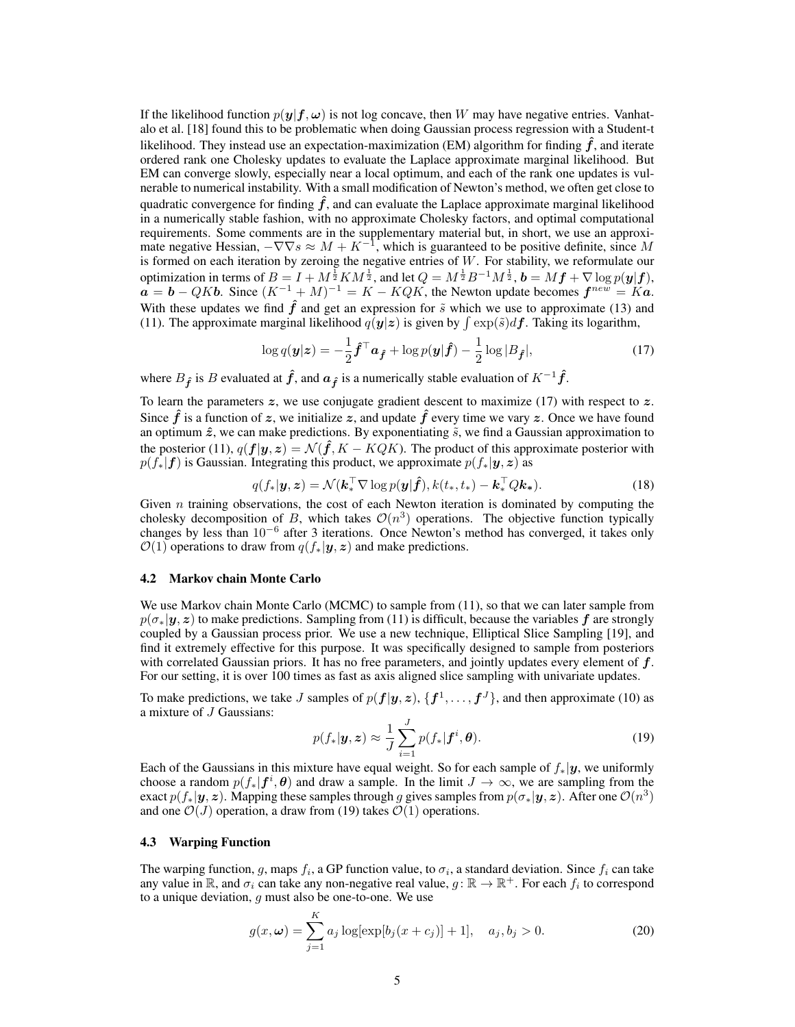If the likelihood function  $p(y|f, \omega)$  is not log concave, then W may have negative entries. Vanhatalo et al. [18] found this to be problematic when doing Gaussian process regression with a Student-t likelihood. They instead use an expectation-maximization (EM) algorithm for finding  $\hat{f}$ , and iterate ordered rank one Cholesky updates to evaluate the Laplace approximate marginal likelihood. But EM can converge slowly, especially near a local optimum, and each of the rank one updates is vulnerable to numerical instability. With a small modification of Newton's method, we often get close to quadratic convergence for finding  $\hat{f}$ , and can evaluate the Laplace approximate marginal likelihood in a numerically stable fashion, with no approximate Cholesky factors, and optimal computational requirements. Some comments are in the supplementary material but, in short, we use an approximate negative Hessian,  $-\nabla \nabla s \approx M + K^{-1}$ , which is guaranteed to be positive definite, since M is formed on each iteration by zeroing the negative entries of  $W$ . For stability, we reformulate our optimization in terms of  $B = I + M^{\frac{1}{2}} K M^{\frac{1}{2}}$ , and let  $Q = M^{\frac{1}{2}} B^{-1} M^{\frac{1}{2}}$ ,  $\mathbf{b} = M \mathbf{f} + \nabla \log p(\mathbf{y}|\mathbf{f})$ ,  $a = b - QKb$ . Since  $(K^{-1} + M)^{-1} = K - KQK$ , the Newton update becomes  $f^{new} = Ka$ . With these updates we find  $\hat{f}$  and get an expression for  $\tilde{s}$  which we use to approximate (13) and (11). The approximate marginal likelihood  $q(\mathbf{y}|\mathbf{z})$  is given by  $\int \exp(\tilde{s})d\mathbf{f}$ . Taking its logarithm,

$$
\log q(\boldsymbol{y}|\boldsymbol{z}) = -\frac{1}{2}\hat{\boldsymbol{f}}^{\top}\boldsymbol{a}_{\hat{\boldsymbol{f}}} + \log p(\boldsymbol{y}|\hat{\boldsymbol{f}}) - \frac{1}{2}\log|B_{\hat{\boldsymbol{f}}}|,\tag{17}
$$

where  $B_{\hat{f}}$  is B evaluated at  $\hat{f}$ , and  $\alpha_{\hat{f}}$  is a numerically stable evaluation of  $K^{-1}\hat{f}$ .

To learn the parameters  $z$ , we use conjugate gradient descent to maximize (17) with respect to  $z$ . Since  $\hat{f}$  is a function of z, we initialize z, and update  $\hat{f}$  every time we vary z. Once we have found an optimum  $\hat{z}$ , we can make predictions. By exponentiating  $\tilde{s}$ , we find a Gaussian approximation to the posterior (11),  $q(f|y, z) = \mathcal{N}(\hat{f}, K - KQK)$ . The product of this approximate posterior with  $p(f_*|f)$  is Gaussian. Integrating this product, we approximate  $p(f_*|y, z)$  as

$$
q(f_*|\mathbf{y}, \mathbf{z}) = \mathcal{N}(\mathbf{k}_*^{\top} \nabla \log p(\mathbf{y}|\hat{\mathbf{f}}), k(t_*, t_*) - \mathbf{k}_*^{\top} Q \mathbf{k}_*).
$$
 (18)

Given  $n$  training observations, the cost of each Newton iteration is dominated by computing the cholesky decomposition of B, which takes  $\mathcal{O}(n^3)$  operations. The objective function typically changes by less than 10<sup>−</sup><sup>6</sup> after 3 iterations. Once Newton's method has converged, it takes only  $\mathcal{O}(1)$  operations to draw from  $q(f_*|\mathbf{y}, \mathbf{z})$  and make predictions.

#### 4.2 Markov chain Monte Carlo

We use Markov chain Monte Carlo (MCMC) to sample from  $(11)$ , so that we can later sample from  $p(\sigma_*|y, z)$  to make predictions. Sampling from (11) is difficult, because the variables f are strongly coupled by a Gaussian process prior. We use a new technique, Elliptical Slice Sampling [19], and find it extremely effective for this purpose. It was specifically designed to sample from posteriors with correlated Gaussian priors. It has no free parameters, and jointly updates every element of  $f$ . For our setting, it is over 100 times as fast as axis aligned slice sampling with univariate updates.

To make predictions, we take J samples of  $p(f|y, z)$ ,  $\{f^1, \ldots, f^J\}$ , and then approximate (10) as a mixture of J Gaussians:

$$
p(f_*|\mathbf{y}, \mathbf{z}) \approx \frac{1}{J} \sum_{i=1}^{J} p(f_*|\mathbf{f}^i, \boldsymbol{\theta}).
$$
\n(19)

Each of the Gaussians in this mixture have equal weight. So for each sample of  $f_*|y$ , we uniformly choose a random  $p(f_*|\bm{f}^i,\bm{\theta})$  and draw a sample. In the limit  $J \to \infty$ , we are sampling from the exact  $p(f_*|\bm{y}, \bm{z})$ . Mapping these samples through g gives samples from  $p(\sigma_*|\bm{y}, \bm{z})$ . After one  $\mathcal{O}(n^3)$ and one  $\mathcal{O}(J)$  operation, a draw from (19) takes  $\mathcal{O}(1)$  operations.

## 4.3 Warping Function

The warping function, g, maps  $f_i$ , a GP function value, to  $\sigma_i$ , a standard deviation. Since  $f_i$  can take any value in  $\mathbb R$ , and  $\sigma_i$  can take any non-negative real value,  $g : \mathbb R \to \mathbb R^+$ . For each  $f_i$  to correspond to a unique deviation,  $q$  must also be one-to-one. We use

$$
g(x, \omega) = \sum_{j=1}^{K} a_j \log[\exp[b_j(x + c_j)] + 1], \quad a_j, b_j > 0.
$$
 (20)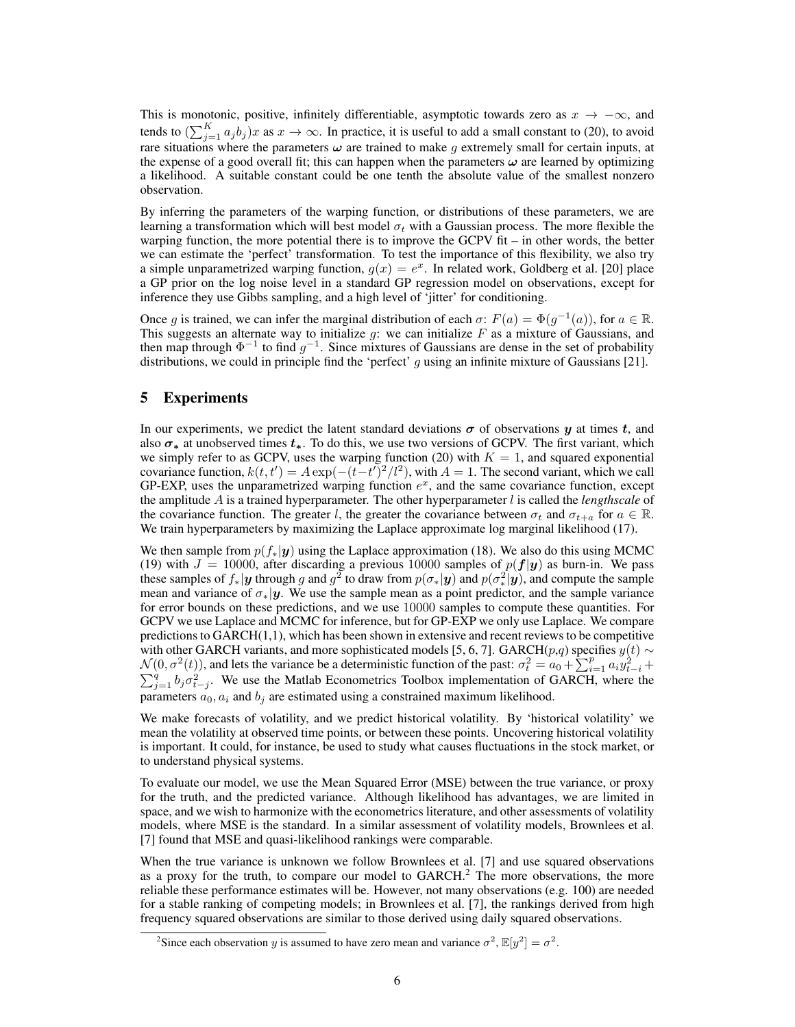This is monotonic, positive, infinitely differentiable, asymptotic towards zero as  $x \to -\infty$ , and tends to  $(\sum_{j=1}^{K} a_j b_j)x$  as  $x \to \infty$ . In practice, it is useful to add a small constant to (20), to avoid rare situations where the parameters  $\omega$  are trained to make g extremely small for certain inputs, at the expense of a good overall fit; this can happen when the parameters  $\omega$  are learned by optimizing a likelihood. A suitable constant could be one tenth the absolute value of the smallest nonzero observation.

By inferring the parameters of the warping function, or distributions of these parameters, we are learning a transformation which will best model  $\sigma_t$  with a Gaussian process. The more flexible the warping function, the more potential there is to improve the GCPV fit – in other words, the better we can estimate the 'perfect' transformation. To test the importance of this flexibility, we also try a simple unparametrized warping function,  $g(x) = e^x$ . In related work, Goldberg et al. [20] place a GP prior on the log noise level in a standard GP regression model on observations, except for inference they use Gibbs sampling, and a high level of 'jitter' for conditioning.

Once g is trained, we can infer the marginal distribution of each  $\sigma$ :  $F(a) = \Phi(g^{-1}(a))$ , for  $a \in \mathbb{R}$ . This suggests an alternate way to initialize  $g$ : we can initialize  $F$  as a mixture of Gaussians, and then map through  $\Phi^{-1}$  to find  $g^{-1}$ . Since mixtures of Gaussians are dense in the set of probability distributions, we could in principle find the 'perfect'  $q$  using an infinite mixture of Gaussians [21].

# 5 Experiments

In our experiments, we predict the latent standard deviations  $\sigma$  of observations y at times t, and also  $\sigma_*$  at unobserved times  $t_*$ . To do this, we use two versions of GCPV. The first variant, which we simply refer to as GCPV, uses the warping function (20) with  $K = 1$ , and squared exponential covariance function,  $k(t, t') = A \exp(-(t-t')^2/l^2)$ , with  $A = 1$ . The second variant, which we call GP-EXP, uses the unparametrized warping function  $e^x$ , and the same covariance function, except the amplitude A is a trained hyperparameter. The other hyperparameter  $l$  is called the *lengthscale* of the covariance function. The greater l, the greater the covariance between  $\sigma_t$  and  $\sigma_{t+a}$  for  $a \in \mathbb{R}$ . We train hyperparameters by maximizing the Laplace approximate log marginal likelihood (17).

We then sample from  $p(f_*|y)$  using the Laplace approximation (18). We also do this using MCMC (19) with  $J = 10000$ , after discarding a previous 10000 samples of  $p(f|y)$  as burn-in. We pass these samples of  $f_*|y$  through g and  $g^2$  to draw from  $p(\sigma_*|y)$  and  $p(\sigma_*^2|y)$ , and compute the sample mean and variance of  $\sigma_*|y$ . We use the sample mean as a point predictor, and the sample variance for error bounds on these predictions, and we use 10000 samples to compute these quantities. For GCPV we use Laplace and MCMC for inference, but for GP-EXP we only use Laplace. We compare predictions to  $GARCH(1,1)$ , which has been shown in extensive and recent reviews to be competitive with other GARCH variants, and more sophisticated models [5, 6, 7]. GARCH( $p,q$ ) specifies  $y(t) \sim$  $\mathcal{N}(0, \sigma^2(t))$ , and lets the variance be a deterministic function of the past:  $\sigma_t^2 = a_0 + \sum_{i=1}^p a_i y_t^2$  $\mathcal{N}(0, \sigma^2(t))$ , and lets the variance be a deterministic function of the past:  $\sigma_t^2 = a_0 + \sum_{i=1}^p a_i y_{t-i}^2 + \sum_{j=1}^q b_j \sigma_{t-j}^2$ . We use the Matlab Econometrics Toolbox implementation of GARCH, where the parameters  $a_0, a_i$  and  $b_i$  are estimated using a constrained maximum likelihood.

We make forecasts of volatility, and we predict historical volatility. By 'historical volatility' we mean the volatility at observed time points, or between these points. Uncovering historical volatility is important. It could, for instance, be used to study what causes fluctuations in the stock market, or to understand physical systems.

To evaluate our model, we use the Mean Squared Error (MSE) between the true variance, or proxy for the truth, and the predicted variance. Although likelihood has advantages, we are limited in space, and we wish to harmonize with the econometrics literature, and other assessments of volatility models, where MSE is the standard. In a similar assessment of volatility models, Brownlees et al. [7] found that MSE and quasi-likelihood rankings were comparable.

When the true variance is unknown we follow Brownlees et al. [7] and use squared observations as a proxy for the truth, to compare our model to GARCH.<sup>2</sup> The more observations, the more reliable these performance estimates will be. However, not many observations (e.g. 100) are needed for a stable ranking of competing models; in Brownlees et al. [7], the rankings derived from high frequency squared observations are similar to those derived using daily squared observations.

<sup>&</sup>lt;sup>2</sup>Since each observation y is assumed to have zero mean and variance  $\sigma^2$ ,  $\mathbb{E}[y^2] = \sigma^2$ .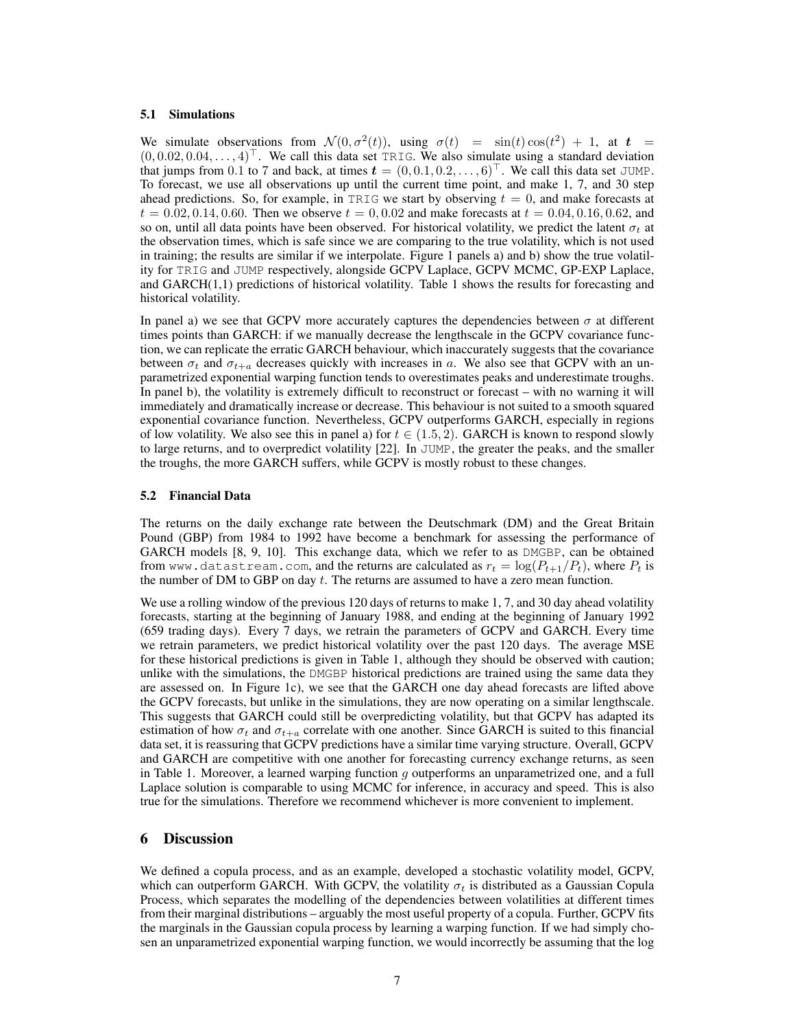#### 5.1 Simulations

We simulate observations from  $\mathcal{N}(0, \sigma^2(t))$ , using  $\sigma(t) = \sin(t) \cos(t^2) + 1$ , at  $t =$  $(0, 0.02, 0.04, \ldots, 4)^{\top}$ . We call this data set TRIG. We also simulate using a standard deviation that jumps from 0.1 to 7 and back, at times  $\mathbf{t} = (0, 0.1, 0.2, \dots, 6)^\top$ . We call this data set JUMP. To forecast, we use all observations up until the current time point, and make 1, 7, and 30 step ahead predictions. So, for example, in TRIG we start by observing  $t = 0$ , and make forecasts at  $t = 0.02, 0.14, 0.60$ . Then we observe  $t = 0, 0.02$  and make forecasts at  $t = 0.04, 0.16, 0.62$ , and so on, until all data points have been observed. For historical volatility, we predict the latent  $\sigma_t$  at the observation times, which is safe since we are comparing to the true volatility, which is not used in training; the results are similar if we interpolate. Figure 1 panels a) and b) show the true volatility for TRIG and JUMP respectively, alongside GCPV Laplace, GCPV MCMC, GP-EXP Laplace, and  $GARCH(1,1)$  predictions of historical volatility. Table 1 shows the results for forecasting and historical volatility.

In panel a) we see that GCPV more accurately captures the dependencies between  $\sigma$  at different times points than GARCH: if we manually decrease the lengthscale in the GCPV covariance function, we can replicate the erratic GARCH behaviour, which inaccurately suggests that the covariance between  $\sigma_t$  and  $\sigma_{t+a}$  decreases quickly with increases in a. We also see that GCPV with an unparametrized exponential warping function tends to overestimates peaks and underestimate troughs. In panel b), the volatility is extremely difficult to reconstruct or forecast – with no warning it will immediately and dramatically increase or decrease. This behaviour is not suited to a smooth squared exponential covariance function. Nevertheless, GCPV outperforms GARCH, especially in regions of low volatility. We also see this in panel a) for  $t \in (1.5, 2)$ . GARCH is known to respond slowly to large returns, and to overpredict volatility [22]. In JUMP, the greater the peaks, and the smaller the troughs, the more GARCH suffers, while GCPV is mostly robust to these changes.

## 5.2 Financial Data

The returns on the daily exchange rate between the Deutschmark (DM) and the Great Britain Pound (GBP) from 1984 to 1992 have become a benchmark for assessing the performance of GARCH models [8, 9, 10]. This exchange data, which we refer to as DMGBP, can be obtained from www.datastream.com, and the returns are calculated as  $r_t = \log(P_{t+1}/P_t)$ , where  $P_t$  is the number of DM to GBP on day  $t$ . The returns are assumed to have a zero mean function.

We use a rolling window of the previous 120 days of returns to make 1, 7, and 30 day ahead volatility forecasts, starting at the beginning of January 1988, and ending at the beginning of January 1992 (659 trading days). Every 7 days, we retrain the parameters of GCPV and GARCH. Every time we retrain parameters, we predict historical volatility over the past 120 days. The average MSE for these historical predictions is given in Table 1, although they should be observed with caution; unlike with the simulations, the DMGBP historical predictions are trained using the same data they are assessed on. In Figure 1c), we see that the GARCH one day ahead forecasts are lifted above the GCPV forecasts, but unlike in the simulations, they are now operating on a similar lengthscale. This suggests that GARCH could still be overpredicting volatility, but that GCPV has adapted its estimation of how  $\sigma_t$  and  $\sigma_{t+a}$  correlate with one another. Since GARCH is suited to this financial data set, it is reassuring that GCPV predictions have a similar time varying structure. Overall, GCPV and GARCH are competitive with one another for forecasting currency exchange returns, as seen in Table 1. Moreover, a learned warping function  $q$  outperforms an unparametrized one, and a full Laplace solution is comparable to using MCMC for inference, in accuracy and speed. This is also true for the simulations. Therefore we recommend whichever is more convenient to implement.

## 6 Discussion

We defined a copula process, and as an example, developed a stochastic volatility model, GCPV, which can outperform GARCH. With GCPV, the volatility  $\sigma_t$  is distributed as a Gaussian Copula Process, which separates the modelling of the dependencies between volatilities at different times from their marginal distributions – arguably the most useful property of a copula. Further, GCPV fits the marginals in the Gaussian copula process by learning a warping function. If we had simply chosen an unparametrized exponential warping function, we would incorrectly be assuming that the log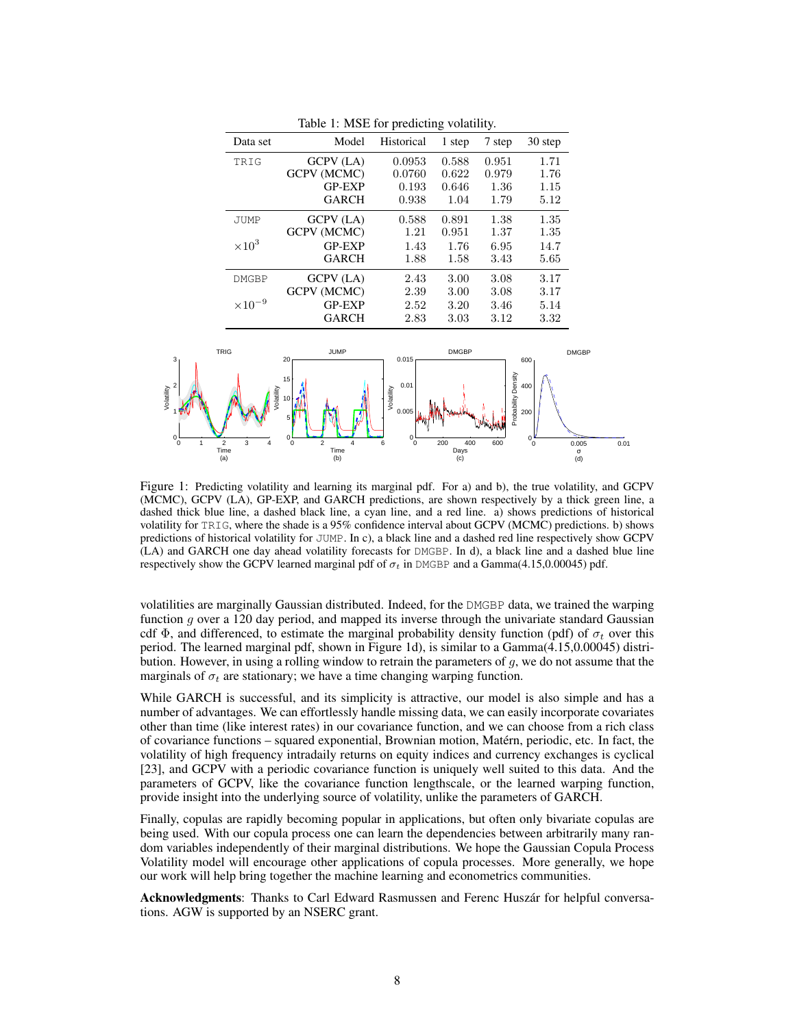| Data set         | Model              | Historical         | 1 step       | 7 step | 30 step |
|------------------|--------------------|--------------------|--------------|--------|---------|
| TRIG             | <b>GCPV</b> (LA)   | 0.0953             | 0.588        | 0.951  | 1.71    |
|                  | <b>GCPV (MCMC)</b> | 0.0760             | 0.622        | 0.979  | 1.76    |
|                  | <b>GP-EXP</b>      | 0.193              | 0.646        | 1.36   | 1.15    |
|                  | <b>GARCH</b>       | 0.938              | 1.04         | 1.79   | 5.12    |
| <b>JUMP</b>      | GCPV (LA)          | 0.588              | 0.891        | 1.38   | 1.35    |
|                  | GCPV (MCMC)        | 1.21               | 0.951        | 1.37   | 1.35    |
| $\times 10^3$    | <b>GP-EXP</b>      | 1.43               | 1.76         | 6.95   | 14.7    |
|                  | <b>GARCH</b>       | 1.88               | 1.58         | 3.43   | 5.65    |
| <b>DMGBP</b>     | GCPV (LA)          | 2.43               | 3.00         | 3.08   | 3.17    |
|                  | GCPV (MCMC)        | 2.39               | 3.00         | 3.08   | 3.17    |
| $\times 10^{-9}$ | <b>GP-EXP</b>      | 2.52               | 3.20         | 3.46   | 5.14    |
|                  | <b>GARCH</b>       | 2.83               | 3.03         | 3.12   | 3.32    |
| <b>TRIG</b>      | <b>JUMP</b>        | 0.015 <sub>F</sub> | <b>DMGBP</b> |        |         |

Table 1: MSE for predicting volatility



Figure 1: Predicting volatility and learning its marginal pdf. For a) and b), the true volatility, and GCPV (MCMC), GCPV (LA), GP-EXP, and GARCH predictions, are shown respectively by a thick green line, a dashed thick blue line, a dashed black line, a cyan line, and a red line. a) shows predictions of historical volatility for TRIG, where the shade is a 95% confidence interval about GCPV (MCMC) predictions. b) shows predictions of historical volatility for JUMP. In c), a black line and a dashed red line respectively show GCPV (LA) and GARCH one day ahead volatility forecasts for DMGBP. In d), a black line and a dashed blue line respectively show the GCPV learned marginal pdf of  $\sigma_t$  in DMGBP and a Gamma(4.15,0.00045) pdf.

volatilities are marginally Gaussian distributed. Indeed, for the DMGBP data, we trained the warping function  $q$  over a 120 day period, and mapped its inverse through the univariate standard Gaussian cdf  $\Phi$ , and differenced, to estimate the marginal probability density function (pdf) of  $\sigma_t$  over this period. The learned marginal pdf, shown in Figure 1d), is similar to a Gamma(4.15,0.00045) distribution. However, in using a rolling window to retrain the parameters of  $g$ , we do not assume that the marginals of  $\sigma_t$  are stationary; we have a time changing warping function.

While GARCH is successful, and its simplicity is attractive, our model is also simple and has a number of advantages. We can effortlessly handle missing data, we can easily incorporate covariates other than time (like interest rates) in our covariance function, and we can choose from a rich class of covariance functions – squared exponential, Brownian motion, Matern, periodic, etc. In fact, the ´ volatility of high frequency intradaily returns on equity indices and currency exchanges is cyclical [23], and GCPV with a periodic covariance function is uniquely well suited to this data. And the parameters of GCPV, like the covariance function lengthscale, or the learned warping function, provide insight into the underlying source of volatility, unlike the parameters of GARCH.

Finally, copulas are rapidly becoming popular in applications, but often only bivariate copulas are being used. With our copula process one can learn the dependencies between arbitrarily many random variables independently of their marginal distributions. We hope the Gaussian Copula Process Volatility model will encourage other applications of copula processes. More generally, we hope our work will help bring together the machine learning and econometrics communities.

Acknowledgments: Thanks to Carl Edward Rasmussen and Ferenc Huszár for helpful conversations. AGW is supported by an NSERC grant.